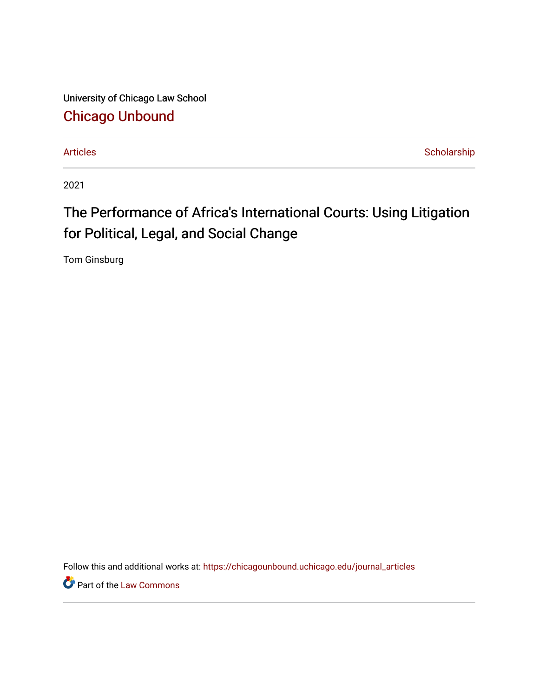University of Chicago Law School [Chicago Unbound](https://chicagounbound.uchicago.edu/)

[Articles](https://chicagounbound.uchicago.edu/journal_articles) **Scholarship** 

2021

## The Performance of Africa's International Courts: Using Litigation for Political, Legal, and Social Change

Tom Ginsburg

Follow this and additional works at: [https://chicagounbound.uchicago.edu/journal\\_articles](https://chicagounbound.uchicago.edu/journal_articles?utm_source=chicagounbound.uchicago.edu%2Fjournal_articles%2F10289&utm_medium=PDF&utm_campaign=PDFCoverPages) 

**P** Part of the [Law Commons](http://network.bepress.com/hgg/discipline/578?utm_source=chicagounbound.uchicago.edu%2Fjournal_articles%2F10289&utm_medium=PDF&utm_campaign=PDFCoverPages)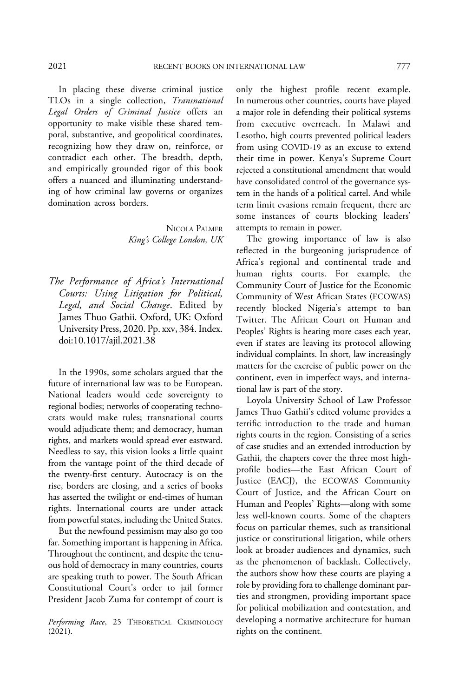In placing these diverse criminal justice TLOs in a single collection, Transnational Legal Orders of Criminal Justice offers an opportunity to make visible these shared temporal, substantive, and geopolitical coordinates, recognizing how they draw on, reinforce, or contradict each other. The breadth, depth, and empirically grounded rigor of this book offers a nuanced and illuminating understanding of how criminal law governs or organizes domination across borders.

> NICOLA PALMER King's College London, UK

The Performance of Africa's International Courts: Using Litigation for Political, Legal, and Social Change. Edited by James Thuo Gathii. Oxford, UK: Oxford University Press, 2020. Pp. xxv, 384. Index. doi:10.1017/ajil.2021.38

In the 1990s, some scholars argued that the future of international law was to be European. National leaders would cede sovereignty to regional bodies; networks of cooperating technocrats would make rules; transnational courts would adjudicate them; and democracy, human rights, and markets would spread ever eastward. Needless to say, this vision looks a little quaint from the vantage point of the third decade of the twenty-first century. Autocracy is on the rise, borders are closing, and a series of books has asserted the twilight or end-times of human rights. International courts are under attack from powerful states, including the United States.

But the newfound pessimism may also go too far. Something important is happening in Africa. Throughout the continent, and despite the tenuous hold of democracy in many countries, courts are speaking truth to power. The South African Constitutional Court's order to jail former President Jacob Zuma for contempt of court is

*Performing Race*, 25 THEORETICAL CRIMINOLOGY developing a normative (2021). rights on the continent.  $(2021).$ 

only the highest profile recent example. In numerous other countries, courts have played a major role in defending their political systems from executive overreach. In Malawi and Lesotho, high courts prevented political leaders from using COVID-19 as an excuse to extend their time in power. Kenya's Supreme Court rejected a constitutional amendment that would have consolidated control of the governance system in the hands of a political cartel. And while term limit evasions remain frequent, there are some instances of courts blocking leaders' attempts to remain in power.

The growing importance of law is also reflected in the burgeoning jurisprudence of Africa's regional and continental trade and human rights courts. For example, the Community Court of Justice for the Economic Community of West African States (ECOWAS) recently blocked Nigeria's attempt to ban Twitter. The African Court on Human and Peoples' Rights is hearing more cases each year, even if states are leaving its protocol allowing individual complaints. In short, law increasingly matters for the exercise of public power on the continent, even in imperfect ways, and international law is part of the story.

Loyola University School of Law Professor James Thuo Gathii's edited volume provides a terrific introduction to the trade and human rights courts in the region. Consisting of a series of case studies and an extended introduction by Gathii, the chapters cover the three most highprofile bodies—the East African Court of Justice (EACJ), the ECOWAS Community Court of Justice, and the African Court on Human and Peoples' Rights—along with some less well-known courts. Some of the chapters focus on particular themes, such as transitional justice or constitutional litigation, while others look at broader audiences and dynamics, such as the phenomenon of backlash. Collectively, the authors show how these courts are playing a role by providing fora to challenge dominant parties and strongmen, providing important space for political mobilization and contestation, and developing a normative architecture for human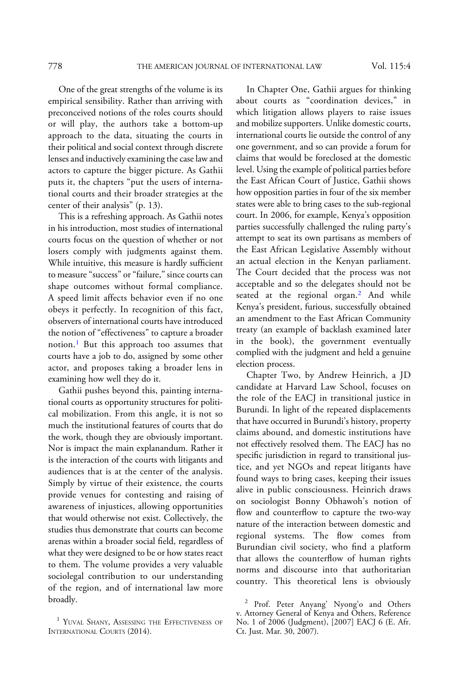One of the great strengths of the volume is its empirical sensibility. Rather than arriving with preconceived notions of the roles courts should or will play, the authors take a bottom-up approach to the data, situating the courts in their political and social context through discrete lenses and inductively examining the case law and actors to capture the bigger picture. As Gathii puts it, the chapters "put the users of international courts and their broader strategies at the center of their analysis" (p. 13).

This is a refreshing approach. As Gathii notes in his introduction, most studies of international courts focus on the question of whether or not losers comply with judgments against them. While intuitive, this measure is hardly sufficient to measure "success" or "failure," since courts can shape outcomes without formal compliance. A speed limit affects behavior even if no one obeys it perfectly. In recognition of this fact, observers of international courts have introduced the notion of "effectiveness" to capture a broader notion.<sup>1</sup> But this approach too assumes that courts have a job to do, assigned by some other actor, and proposes taking a broader lens in examining how well they do it.

Gathii pushes beyond this, painting international courts as opportunity structures for political mobilization. From this angle, it is not so much the institutional features of courts that do the work, though they are obviously important. Nor is impact the main explanandum. Rather it is the interaction of the courts with litigants and audiences that is at the center of the analysis. Simply by virtue of their existence, the courts provide venues for contesting and raising of awareness of injustices, allowing opportunities that would otherwise not exist. Collectively, the studies thus demonstrate that courts can become arenas within a broader social field, regardless of what they were designed to be or how states react to them. The volume provides a very valuable sociolegal contribution to our understanding of the region, and of international law more broadly.

In Chapter One, Gathii argues for thinking about courts as "coordination devices," in which litigation allows players to raise issues and mobilize supporters. Unlike domestic courts, international courts lie outside the control of any one government, and so can provide a forum for claims that would be foreclosed at the domestic level. Using the example of political parties before the East African Court of Justice, Gathii shows how opposition parties in four of the six member states were able to bring cases to the sub-regional court. In 2006, for example, Kenya's opposition parties successfully challenged the ruling party's attempt to seat its own partisans as members of the East African Legislative Assembly without an actual election in the Kenyan parliament. The Court decided that the process was not acceptable and so the delegates should not be seated at the regional organ.<sup>2</sup> And while Kenya's president, furious, successfully obtained an amendment to the East African Community treaty (an example of backlash examined later in the book), the government eventually complied with the judgment and held a genuine election process.

Chapter Two, by Andrew Heinrich, a JD candidate at Harvard Law School, focuses on the role of the EACJ in transitional justice in Burundi. In light of the repeated displacements that have occurred in Burundi's history, property claims abound, and domestic institutions have not effectively resolved them. The EACJ has no specific jurisdiction in regard to transitional justice, and yet NGOs and repeat litigants have found ways to bring cases, keeping their issues alive in public consciousness. Heinrich draws on sociologist Bonny Obhawoh's notion of flow and counterflow to capture the two-way nature of the interaction between domestic and regional systems. The flow comes from Burundian civil society, who find a platform that allows the counterflow of human rights norms and discourse into that authoritarian country. This theoretical lens is obviously

<sup>&</sup>lt;sup>1</sup> YUVAL SHANY, ASSESSING THE EFFECTIVENESS OF INTERNATIONAL COURTS (2014).

<sup>&</sup>lt;sup>2</sup> Prof. Peter Anyang' Nyong'o and Others v. Attorney General of Kenya and Others, Reference No. 1 of 2006 (Judgment), [2007] EACJ 6 (E. Afr. Ct. Just. Mar. 30, 2007).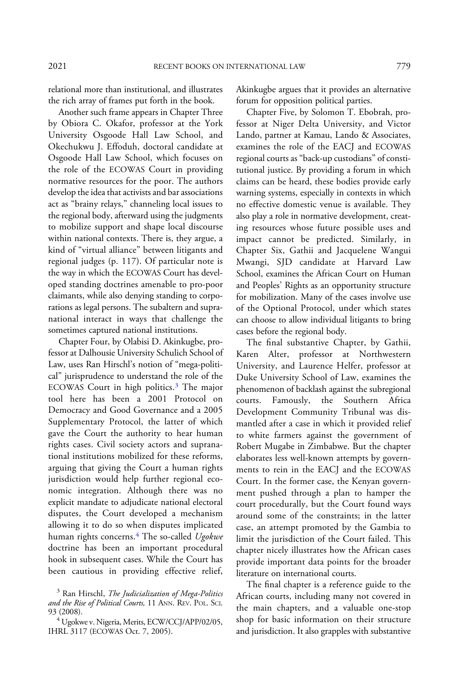relational more than institutional, and illustrates the rich array of frames put forth in the book.

Another such frame appears in Chapter Three by Obiora C. Okafor, professor at the York University Osgoode Hall Law School, and Okechukwu J. Effoduh, doctoral candidate at Osgoode Hall Law School, which focuses on the role of the ECOWAS Court in providing normative resources for the poor. The authors develop the idea that activists and bar associations act as "brainy relays," channeling local issues to the regional body, afterward using the judgments to mobilize support and shape local discourse within national contexts. There is, they argue, a kind of "virtual alliance" between litigants and regional judges (p. 117). Of particular note is the way in which the ECOWAS Court has developed standing doctrines amenable to pro-poor claimants, while also denying standing to corporations as legal persons. The subaltern and supranational interact in ways that challenge the sometimes captured national institutions.

Chapter Four, by Olabisi D. Akinkugbe, professor at Dalhousie University Schulich School of Law, uses Ran Hirschl's notion of "mega-political" jurisprudence to understand the role of the ECOWAS Court in high politics.<sup>3</sup> The major tool here has been a 2001 Protocol on Democracy and Good Governance and a 2005 Supplementary Protocol, the latter of which gave the Court the authority to hear human rights cases. Civil society actors and supranational institutions mobilized for these reforms, arguing that giving the Court a human rights jurisdiction would help further regional economic integration. Although there was no explicit mandate to adjudicate national electoral disputes, the Court developed a mechanism allowing it to do so when disputes implicated human rights concerns.<sup>4</sup> The so-called Ugokwe doctrine has been an important procedural hook in subsequent cases. While the Court has been cautious in providing effective relief, Akinkugbe argues that it provides an alternative forum for opposition political parties.

Chapter Five, by Solomon T. Ebobrah, professor at Niger Delta University, and Victor Lando, partner at Kamau, Lando & Associates, examines the role of the EACJ and ECOWAS regional courts as"back-up custodians" of constitutional justice. By providing a forum in which claims can be heard, these bodies provide early warning systems, especially in contexts in which no effective domestic venue is available. They also play a role in normative development, creating resources whose future possible uses and impact cannot be predicted. Similarly, in Chapter Six, Gathii and Jacquelene Wangui Mwangi, SJD candidate at Harvard Law School, examines the African Court on Human and Peoples' Rights as an opportunity structure for mobilization. Many of the cases involve use of the Optional Protocol, under which states can choose to allow individual litigants to bring cases before the regional body.

The final substantive Chapter, by Gathii, Karen Alter, professor at Northwestern University, and Laurence Helfer, professor at Duke University School of Law, examines the phenomenon of backlash against the subregional courts. Famously, the Southern Africa Development Community Tribunal was dismantled after a case in which it provided relief to white farmers against the government of Robert Mugabe in Zimbabwe. But the chapter elaborates less well-known attempts by governments to rein in the EACJ and the ECOWAS Court. In the former case, the Kenyan government pushed through a plan to hamper the court procedurally, but the Court found ways around some of the constraints; in the latter case, an attempt promoted by the Gambia to limit the jurisdiction of the Court failed. This chapter nicely illustrates how the African cases provide important data points for the broader literature on international courts.

The final chapter is a reference guide to the African courts, including many not covered in the main chapters, and a valuable one-stop shop for basic information on their structure and jurisdiction. It also grapples with substantive

 $3$  Ran Hirschl, The Judicialization of Mega-Politics and the Rise of Political Courts, 11 ANN. REV. POL. SCI. 93 (2008).

<sup>&</sup>lt;sup>4</sup> Ugokwe v. Nigeria, Merits, ECW/CCJ/APP/02/05, IHRL 3117 (ECOWAS Oct. 7, 2005).